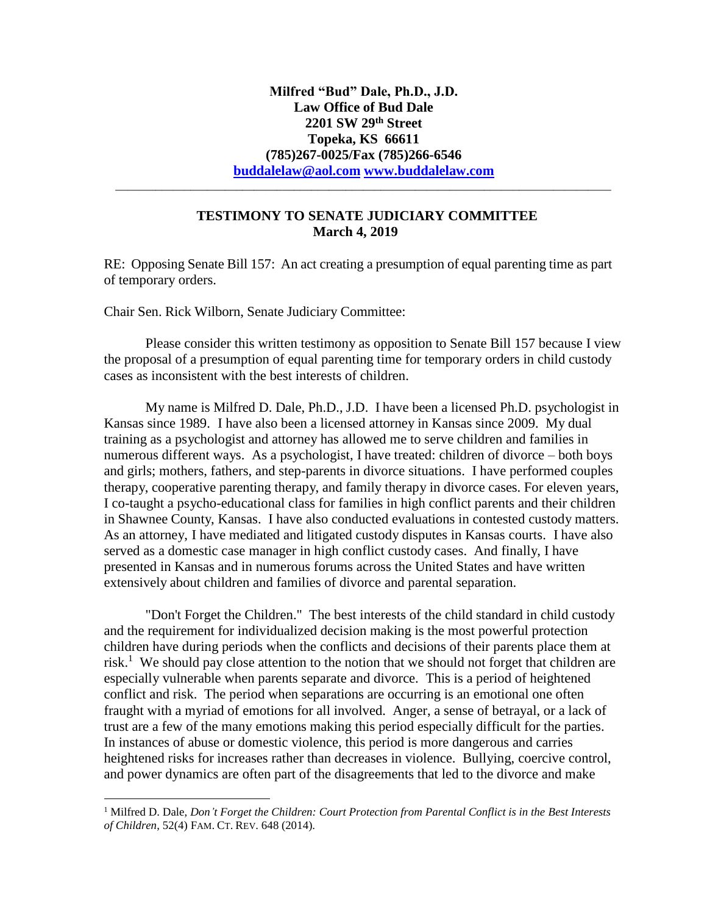## **TESTIMONY TO SENATE JUDICIARY COMMITTEE March 4, 2019**

\_\_\_\_\_\_\_\_\_\_\_\_\_\_\_\_\_\_\_\_\_\_\_\_\_\_\_\_\_\_\_\_\_\_\_\_\_\_\_\_\_\_\_\_\_\_\_\_\_\_\_\_\_\_\_\_\_\_\_\_\_\_\_\_\_\_\_\_\_\_\_\_\_\_\_\_\_\_\_\_\_\_\_\_\_\_

RE: Opposing Senate Bill 157: An act creating a presumption of equal parenting time as part of temporary orders.

Chair Sen. Rick Wilborn, Senate Judiciary Committee:

 $\overline{a}$ 

Please consider this written testimony as opposition to Senate Bill 157 because I view the proposal of a presumption of equal parenting time for temporary orders in child custody cases as inconsistent with the best interests of children.

My name is Milfred D. Dale, Ph.D., J.D. I have been a licensed Ph.D. psychologist in Kansas since 1989. I have also been a licensed attorney in Kansas since 2009. My dual training as a psychologist and attorney has allowed me to serve children and families in numerous different ways. As a psychologist, I have treated: children of divorce – both boys and girls; mothers, fathers, and step-parents in divorce situations. I have performed couples therapy, cooperative parenting therapy, and family therapy in divorce cases. For eleven years, I co-taught a psycho-educational class for families in high conflict parents and their children in Shawnee County, Kansas. I have also conducted evaluations in contested custody matters. As an attorney, I have mediated and litigated custody disputes in Kansas courts. I have also served as a domestic case manager in high conflict custody cases. And finally, I have presented in Kansas and in numerous forums across the United States and have written extensively about children and families of divorce and parental separation.

"Don't Forget the Children." The best interests of the child standard in child custody and the requirement for individualized decision making is the most powerful protection children have during periods when the conflicts and decisions of their parents place them at risk.<sup>1</sup> We should pay close attention to the notion that we should not forget that children are especially vulnerable when parents separate and divorce. This is a period of heightened conflict and risk. The period when separations are occurring is an emotional one often fraught with a myriad of emotions for all involved. Anger, a sense of betrayal, or a lack of trust are a few of the many emotions making this period especially difficult for the parties. In instances of abuse or domestic violence, this period is more dangerous and carries heightened risks for increases rather than decreases in violence. Bullying, coercive control, and power dynamics are often part of the disagreements that led to the divorce and make

<sup>1</sup> Milfred D. Dale, *Don't Forget the Children: Court Protection from Parental Conflict is in the Best Interests of Children*, 52(4) FAM. CT. REV. 648 (2014).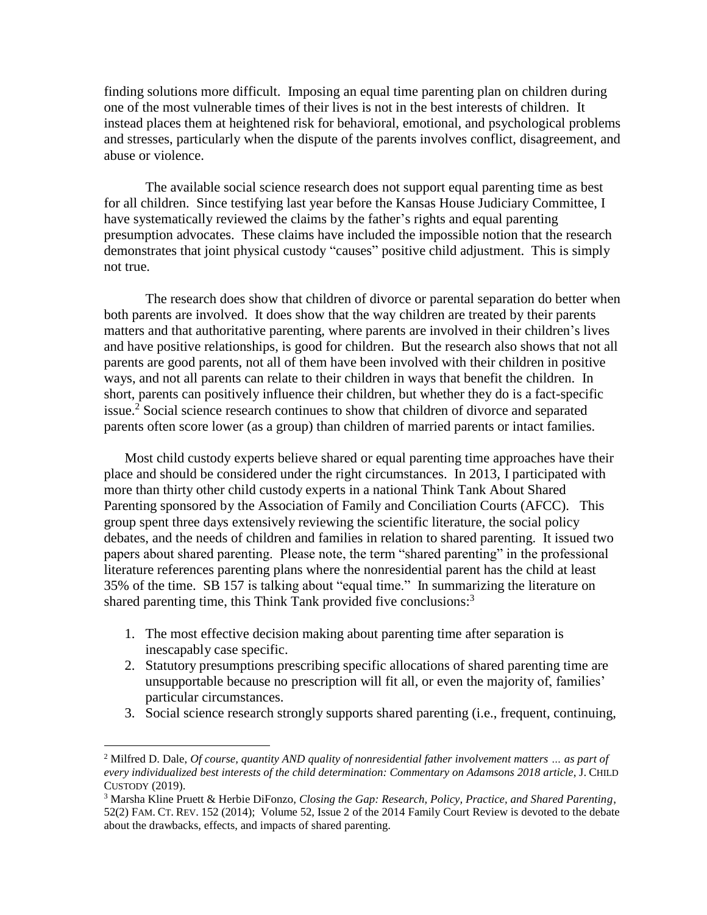finding solutions more difficult. Imposing an equal time parenting plan on children during one of the most vulnerable times of their lives is not in the best interests of children. It instead places them at heightened risk for behavioral, emotional, and psychological problems and stresses, particularly when the dispute of the parents involves conflict, disagreement, and abuse or violence.

The available social science research does not support equal parenting time as best for all children. Since testifying last year before the Kansas House Judiciary Committee, I have systematically reviewed the claims by the father's rights and equal parenting presumption advocates. These claims have included the impossible notion that the research demonstrates that joint physical custody "causes" positive child adjustment. This is simply not true.

The research does show that children of divorce or parental separation do better when both parents are involved. It does show that the way children are treated by their parents matters and that authoritative parenting, where parents are involved in their children's lives and have positive relationships, is good for children. But the research also shows that not all parents are good parents, not all of them have been involved with their children in positive ways, and not all parents can relate to their children in ways that benefit the children. In short, parents can positively influence their children, but whether they do is a fact-specific issue.<sup>2</sup> Social science research continues to show that children of divorce and separated parents often score lower (as a group) than children of married parents or intact families.

Most child custody experts believe shared or equal parenting time approaches have their place and should be considered under the right circumstances. In 2013, I participated with more than thirty other child custody experts in a national Think Tank About Shared Parenting sponsored by the Association of Family and Conciliation Courts (AFCC). This group spent three days extensively reviewing the scientific literature, the social policy debates, and the needs of children and families in relation to shared parenting. It issued two papers about shared parenting. Please note, the term "shared parenting" in the professional literature references parenting plans where the nonresidential parent has the child at least 35% of the time. SB 157 is talking about "equal time." In summarizing the literature on shared parenting time, this Think Tank provided five conclusions:<sup>3</sup>

1. The most effective decision making about parenting time after separation is inescapably case specific.

 $\overline{a}$ 

- 2. Statutory presumptions prescribing specific allocations of shared parenting time are unsupportable because no prescription will fit all, or even the majority of, families' particular circumstances.
- 3. Social science research strongly supports shared parenting (i.e., frequent, continuing,

<sup>2</sup> Milfred D. Dale, *Of course, quantity AND quality of nonresidential father involvement matters … as part of every individualized best interests of the child determination: Commentary on Adamsons 2018 article*, J. CHILD CUSTODY (2019).

<sup>3</sup> Marsha Kline Pruett & Herbie DiFonzo, *Closing the Gap: Research, Policy, Practice, and Shared Parenting*, 52(2) FAM. CT. REV. 152 (2014); Volume 52, Issue 2 of the 2014 Family Court Review is devoted to the debate about the drawbacks, effects, and impacts of shared parenting.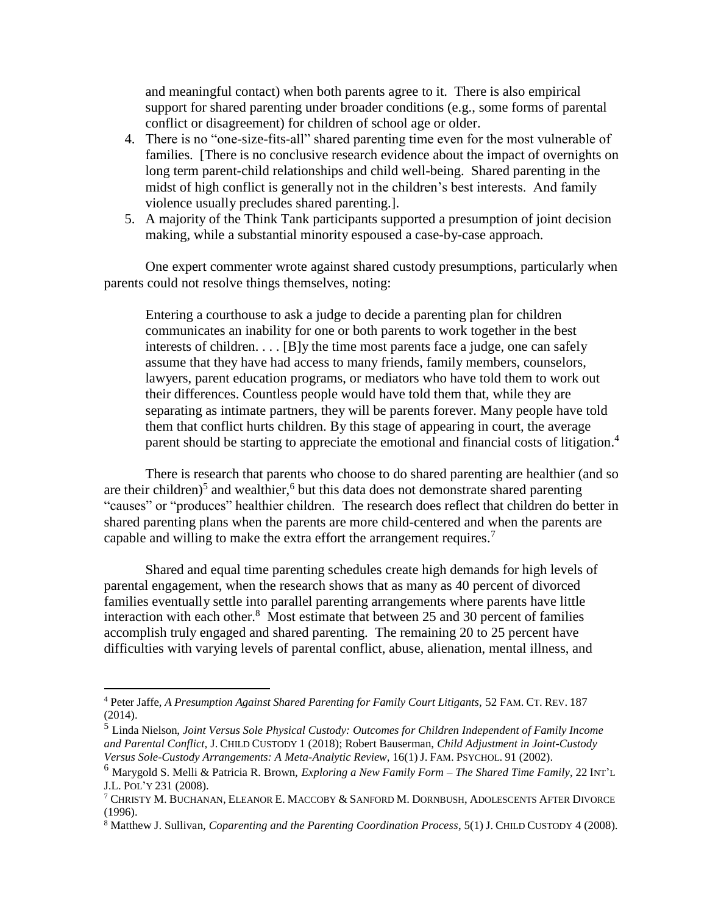and meaningful contact) when both parents agree to it. There is also empirical support for shared parenting under broader conditions (e.g., some forms of parental conflict or disagreement) for children of school age or older.

- 4. There is no "one-size-fits-all" shared parenting time even for the most vulnerable of families. [There is no conclusive research evidence about the impact of overnights on long term parent-child relationships and child well-being. Shared parenting in the midst of high conflict is generally not in the children's best interests. And family violence usually precludes shared parenting.].
- 5. A majority of the Think Tank participants supported a presumption of joint decision making, while a substantial minority espoused a case-by-case approach.

One expert commenter wrote against shared custody presumptions, particularly when parents could not resolve things themselves, noting:

Entering a courthouse to ask a judge to decide a parenting plan for children communicates an inability for one or both parents to work together in the best interests of children. . . . [B]y the time most parents face a judge, one can safely assume that they have had access to many friends, family members, counselors, lawyers, parent education programs, or mediators who have told them to work out their differences. Countless people would have told them that, while they are separating as intimate partners, they will be parents forever. Many people have told them that conflict hurts children. By this stage of appearing in court, the average parent should be starting to appreciate the emotional and financial costs of litigation.<sup>4</sup>

There is research that parents who choose to do shared parenting are healthier (and so are their children)<sup>5</sup> and wealthier,<sup>6</sup> but this data does not demonstrate shared parenting "causes" or "produces" healthier children. The research does reflect that children do better in shared parenting plans when the parents are more child-centered and when the parents are capable and willing to make the extra effort the arrangement requires.<sup>7</sup>

Shared and equal time parenting schedules create high demands for high levels of parental engagement, when the research shows that as many as 40 percent of divorced families eventually settle into parallel parenting arrangements where parents have little interaction with each other. $8$  Most estimate that between 25 and 30 percent of families accomplish truly engaged and shared parenting. The remaining 20 to 25 percent have difficulties with varying levels of parental conflict, abuse, alienation, mental illness, and

 $\overline{a}$ 

<sup>4</sup> Peter Jaffe, *A Presumption Against Shared Parenting for Family Court Litigants,* 52 FAM. CT. REV. 187 (2014).

<sup>5</sup> Linda Nielson, *Joint Versus Sole Physical Custody: Outcomes for Children Independent of Family Income and Parental Conflict,* J. CHILD CUSTODY 1 (2018); Robert Bauserman, *Child Adjustment in Joint-Custody Versus Sole-Custody Arrangements: A Meta-Analytic Review*, 16(1) J. FAM. PSYCHOL. 91 (2002).

<sup>6</sup> Marygold S. Melli & Patricia R. Brown, *Exploring a New Family Form – The Shared Time Family*, 22 INT'<sup>L</sup> J.L. POL'Y 231 (2008).

<sup>7</sup> CHRISTY M. BUCHANAN, ELEANOR E. MACCOBY & SANFORD M. DORNBUSH, ADOLESCENTS AFTER DIVORCE (1996).

<sup>8</sup> Matthew J. Sullivan, *Coparenting and the Parenting Coordination Process*, 5(1) J. CHILD CUSTODY 4 (2008).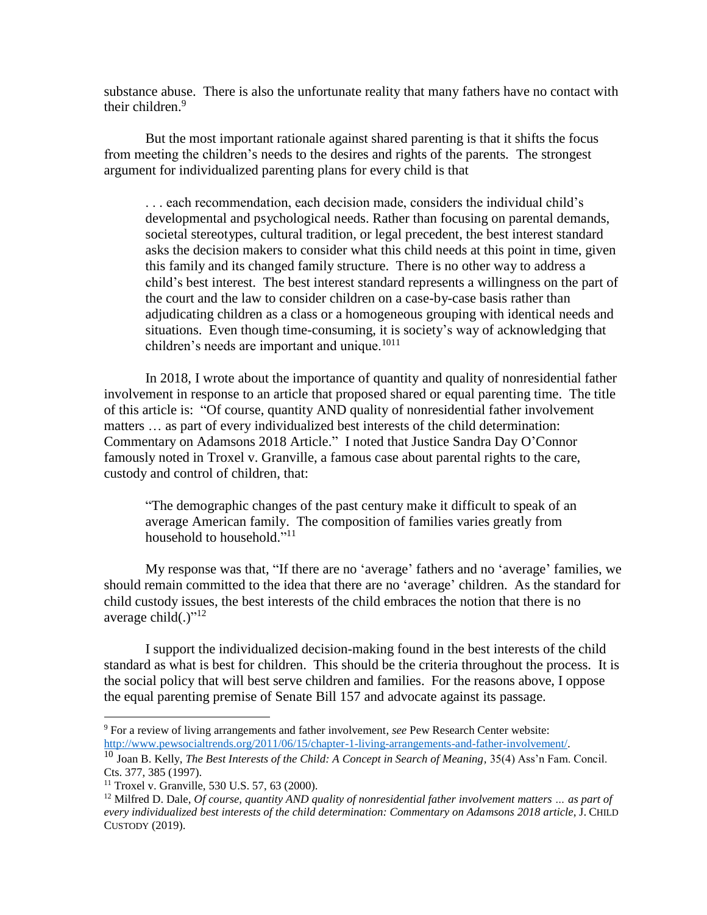substance abuse. There is also the unfortunate reality that many fathers have no contact with their children.<sup>9</sup>

But the most important rationale against shared parenting is that it shifts the focus from meeting the children's needs to the desires and rights of the parents. The strongest argument for individualized parenting plans for every child is that

. . . each recommendation, each decision made, considers the individual child's developmental and psychological needs. Rather than focusing on parental demands, societal stereotypes, cultural tradition, or legal precedent, the best interest standard asks the decision makers to consider what this child needs at this point in time, given this family and its changed family structure. There is no other way to address a child's best interest. The best interest standard represents a willingness on the part of the court and the law to consider children on a case-by-case basis rather than adjudicating children as a class or a homogeneous grouping with identical needs and situations. Even though time-consuming, it is society's way of acknowledging that children's needs are important and unique.<sup>1011</sup>

In 2018, I wrote about the importance of quantity and quality of nonresidential father involvement in response to an article that proposed shared or equal parenting time. The title of this article is: "Of course, quantity AND quality of nonresidential father involvement matters … as part of every individualized best interests of the child determination: Commentary on Adamsons 2018 Article." I noted that Justice Sandra Day O'Connor famously noted in Troxel v. Granville, a famous case about parental rights to the care, custody and control of children, that:

"The demographic changes of the past century make it difficult to speak of an average American family. The composition of families varies greatly from household to household."<sup>11</sup>

My response was that, "If there are no 'average' fathers and no 'average' families, we should remain committed to the idea that there are no 'average' children. As the standard for child custody issues, the best interests of the child embraces the notion that there is no average child(.)"<sup>12</sup>

I support the individualized decision-making found in the best interests of the child standard as what is best for children. This should be the criteria throughout the process. It is the social policy that will best serve children and families. For the reasons above, I oppose the equal parenting premise of Senate Bill 157 and advocate against its passage.

 $\overline{a}$ 

<sup>9</sup> For a review of living arrangements and father involvement, *see* Pew Research Center website: [http://www.pewsocialtrends.org/2011/06/15/chapter-1-living-arrangements-and-father-involvement/.](http://www.pewsocialtrends.org/2011/06/15/chapter-1-living-arrangements-and-father-involvement/)

<sup>10</sup> Joan B. Kelly, *The Best Interests of the Child: A Concept in Search of Meaning,* 35(4) Ass'n Fam. Concil. Cts. 377, 385 (1997).

 $11$  Troxel v. Granville, 530 U.S. 57, 63 (2000).

<sup>12</sup> Milfred D. Dale, *Of course, quantity AND quality of nonresidential father involvement matters … as part of every individualized best interests of the child determination: Commentary on Adamsons 2018 article*, J. CHILD CUSTODY (2019).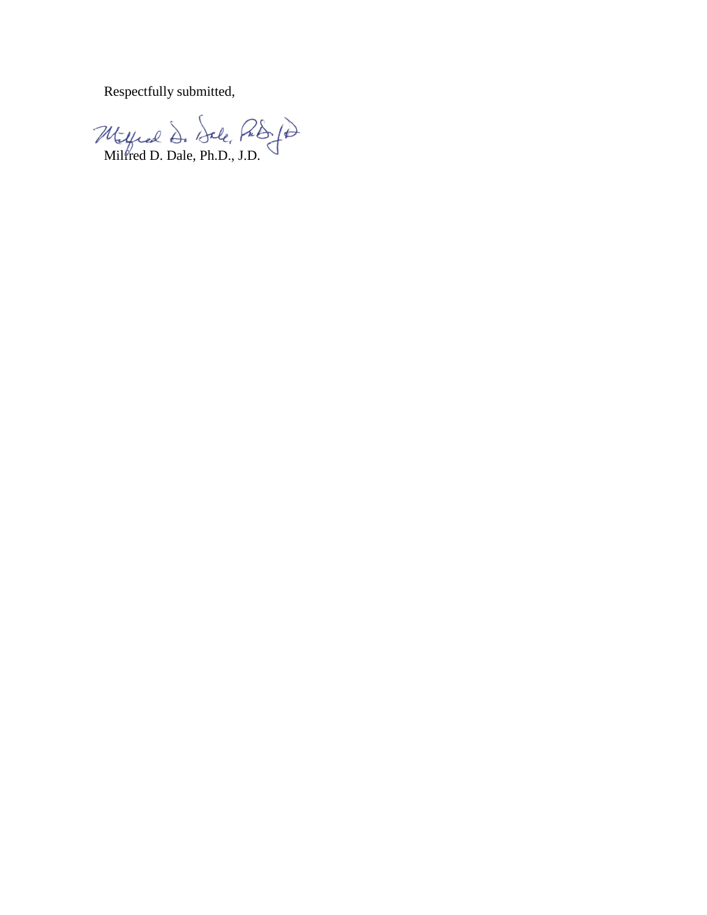Respectfully submitted,

Milfred D. Dale, Ph.D., J.D.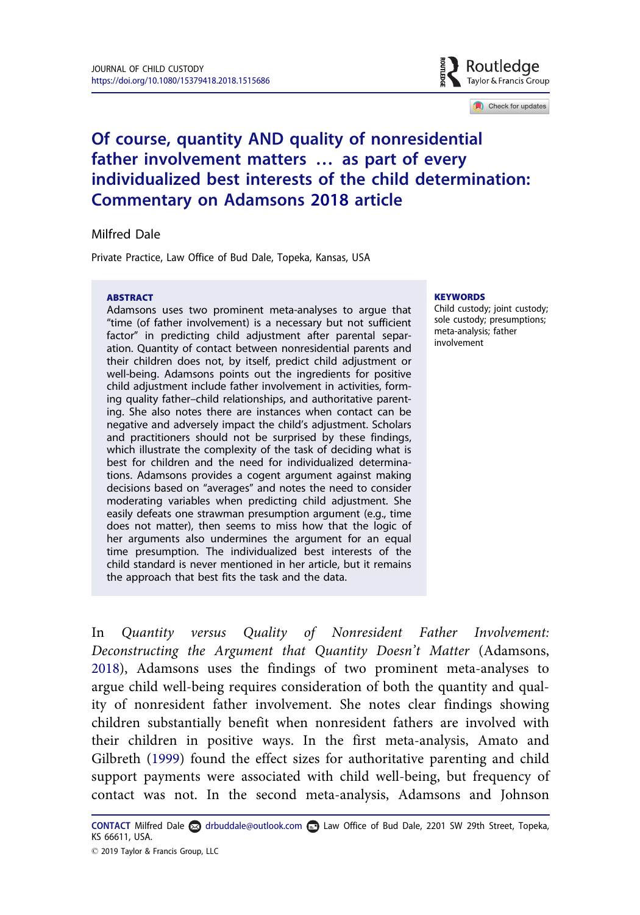

Check for updates

# <span id="page-5-0"></span>Of course, quantity AND quality of nonresidential father involvement matters … as part of every individualized best interests of the child determination: Commentary on Adamsons [2018](#page-9-0) article

### Milfred Dale

Private Practice, Law Office of Bud Dale, Topeka, Kansas, USA

#### **ABSTRACT**

Adamsons uses two prominent meta-analyses to argue that "time (of father involvement) is a necessary but not sufficient factor" in predicting child adjustment after parental separation. Quantity of contact between nonresidential parents and their children does not, by itself, predict child adjustment or well-being. Adamsons points out the ingredients for positive child adjustment include father involvement in activities, forming quality father–child relationships, and authoritative parenting. She also notes there are instances when contact can be negative and adversely impact the child's adjustment. Scholars and practitioners should not be surprised by these findings, which illustrate the complexity of the task of deciding what is best for children and the need for individualized determinations. Adamsons provides a cogent argument against making decisions based on "averages" and notes the need to consider moderating variables when predicting child adjustment. She easily defeats one strawman presumption argument (e.g., time does not matter), then seems to miss how that the logic of her arguments also undermines the argument for an equal time presumption. The individualized best interests of the child standard is never mentioned in her article, but it remains the approach that best fits the task and the data.

#### **KEYWORDS**

Child custody; joint custody; sole custody; presumptions; meta-analysis; father involvement

In Quantity versus Quality of Nonresident Father Involvement: Deconstructing the Argument that Quantity Doesn't Matter (Adamsons, [2018](#page-9-0)), Adamsons uses the findings of two prominent meta-analyses to argue child well-being requires consideration of both the quantity and quality of nonresident father involvement. She notes clear findings showing children substantially benefit when nonresident fathers are involved with their children in positive ways. In the first meta-analysis, Amato and Gilbreth [\(1999](#page-9-0)) found the effect sizes for authoritative parenting and child support payments were associated with child well-being, but frequency of contact was not. In the second meta-analysis, Adamsons and Johnson

CONTACT Milfred Dale a drbuddale@outlook.com **a** Law Office of Bud Dale, 2201 SW 29th Street, Topeka, KS 66611, USA. 2019 Taylor & Francis Group, LLC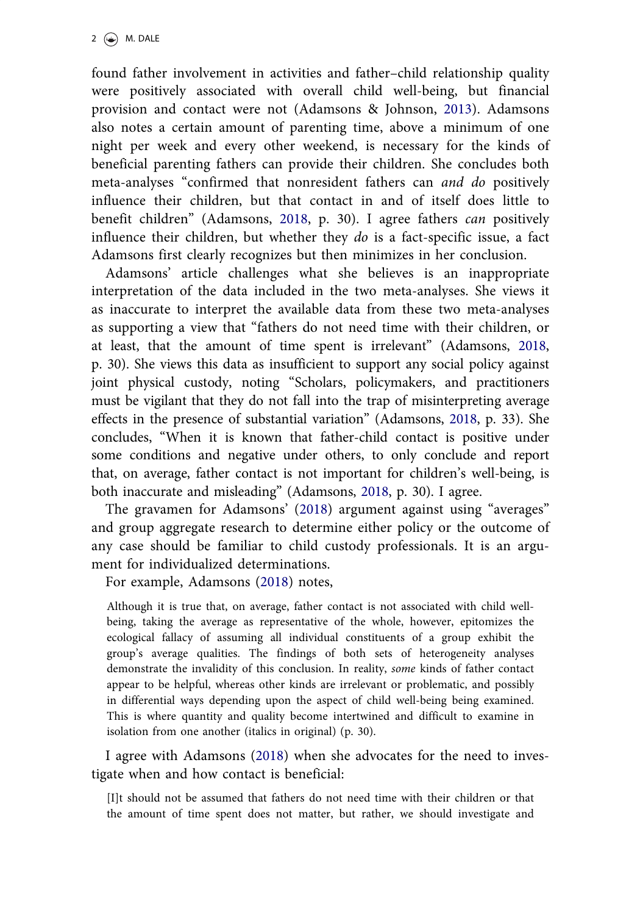found father involvement in activities and father–child relationship quality were positively associated with overall child well-being, but financial provision and contact were not (Adamsons & Johnson, [2013\)](#page-9-0). Adamsons also notes a certain amount of parenting time, above a minimum of one night per week and every other weekend, is necessary for the kinds of beneficial parenting fathers can provide their children. She concludes both meta-analyses "confirmed that nonresident fathers can and do positively influence their children, but that contact in and of itself does little to benefit children" (Adamsons, [2018](#page-9-0), p. 30). I agree fathers can positively influence their children, but whether they do is a fact-specific issue, a fact Adamsons first clearly recognizes but then minimizes in her conclusion.

Adamsons' article challenges what she believes is an inappropriate interpretation of the data included in the two meta-analyses. She views it as inaccurate to interpret the available data from these two meta-analyses as supporting a view that "fathers do not need time with their children, or at least, that the amount of time spent is irrelevant" (Adamsons, [2018,](#page-9-0) p. 30). She views this data as insufficient to support any social policy against joint physical custody, noting "Scholars, policymakers, and practitioners must be vigilant that they do not fall into the trap of misinterpreting average effects in the presence of substantial variation" (Adamsons, [2018,](#page-9-0) p. 33). She concludes, "When it is known that father-child contact is positive under some conditions and negative under others, to only conclude and report that, on average, father contact is not important for children's well-being, is both inaccurate and misleading" (Adamsons, [2018,](#page-9-0) p. 30). I agree.

The gravamen for Adamsons' ([2018\)](#page-9-0) argument against using "averages" and group aggregate research to determine either policy or the outcome of any case should be familiar to child custody professionals. It is an argument for individualized determinations.

For example, Adamsons [\(2018](#page-9-0)) notes,

Although it is true that, on average, father contact is not associated with child wellbeing, taking the average as representative of the whole, however, epitomizes the ecological fallacy of assuming all individual constituents of a group exhibit the group's average qualities. The findings of both sets of heterogeneity analyses demonstrate the invalidity of this conclusion. In reality, some kinds of father contact appear to be helpful, whereas other kinds are irrelevant or problematic, and possibly in differential ways depending upon the aspect of child well-being being examined. This is where quantity and quality become intertwined and difficult to examine in isolation from one another (italics in original) (p. 30).

I agree with Adamsons [\(2018](#page-9-0)) when she advocates for the need to investigate when and how contact is beneficial:

[I]t should not be assumed that fathers do not need time with their children or that the amount of time spent does not matter, but rather, we should investigate and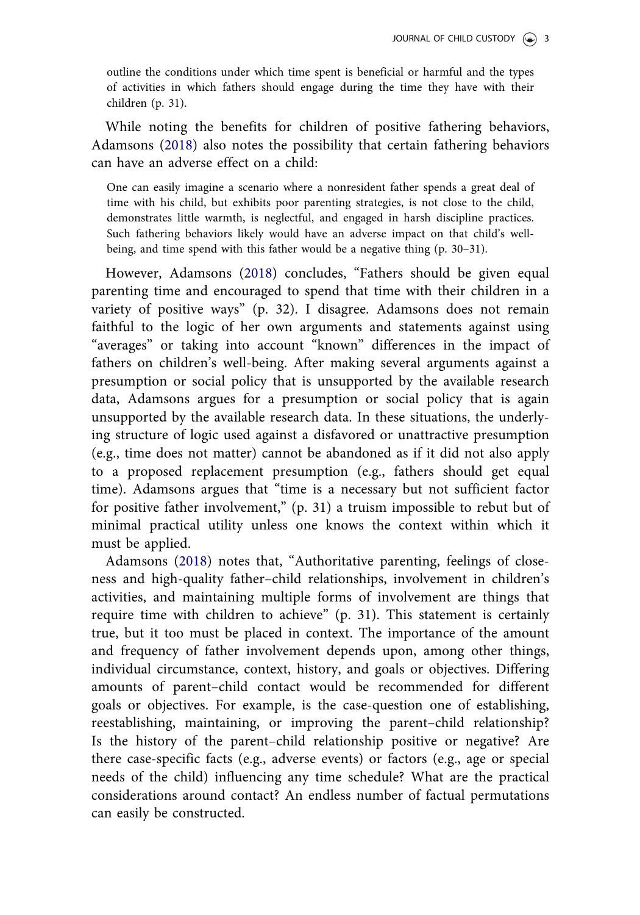outline the conditions under which time spent is beneficial or harmful and the types of activities in which fathers should engage during the time they have with their children (p. 31).

While noting the benefits for children of positive fathering behaviors, Adamsons ([2018\)](#page-9-0) also notes the possibility that certain fathering behaviors can have an adverse effect on a child:

One can easily imagine a scenario where a nonresident father spends a great deal of time with his child, but exhibits poor parenting strategies, is not close to the child, demonstrates little warmth, is neglectful, and engaged in harsh discipline practices. Such fathering behaviors likely would have an adverse impact on that child's wellbeing, and time spend with this father would be a negative thing (p. 30–31).

However, Adamsons [\(2018](#page-9-0)) concludes, "Fathers should be given equal parenting time and encouraged to spend that time with their children in a variety of positive ways" (p. 32). I disagree. Adamsons does not remain faithful to the logic of her own arguments and statements against using "averages" or taking into account "known" differences in the impact of fathers on children's well-being. After making several arguments against a presumption or social policy that is unsupported by the available research data, Adamsons argues for a presumption or social policy that is again unsupported by the available research data. In these situations, the underlying structure of logic used against a disfavored or unattractive presumption (e.g., time does not matter) cannot be abandoned as if it did not also apply to a proposed replacement presumption (e.g., fathers should get equal time). Adamsons argues that "time is a necessary but not sufficient factor for positive father involvement," (p. 31) a truism impossible to rebut but of minimal practical utility unless one knows the context within which it must be applied.

Adamsons [\(2018](#page-9-0)) notes that, "Authoritative parenting, feelings of closeness and high-quality father–child relationships, involvement in children's activities, and maintaining multiple forms of involvement are things that require time with children to achieve" (p. 31). This statement is certainly true, but it too must be placed in context. The importance of the amount and frequency of father involvement depends upon, among other things, individual circumstance, context, history, and goals or objectives. Differing amounts of parent–child contact would be recommended for different goals or objectives. For example, is the case-question one of establishing, reestablishing, maintaining, or improving the parent–child relationship? Is the history of the parent–child relationship positive or negative? Are there case-specific facts (e.g., adverse events) or factors (e.g., age or special needs of the child) influencing any time schedule? What are the practical considerations around contact? An endless number of factual permutations can easily be constructed.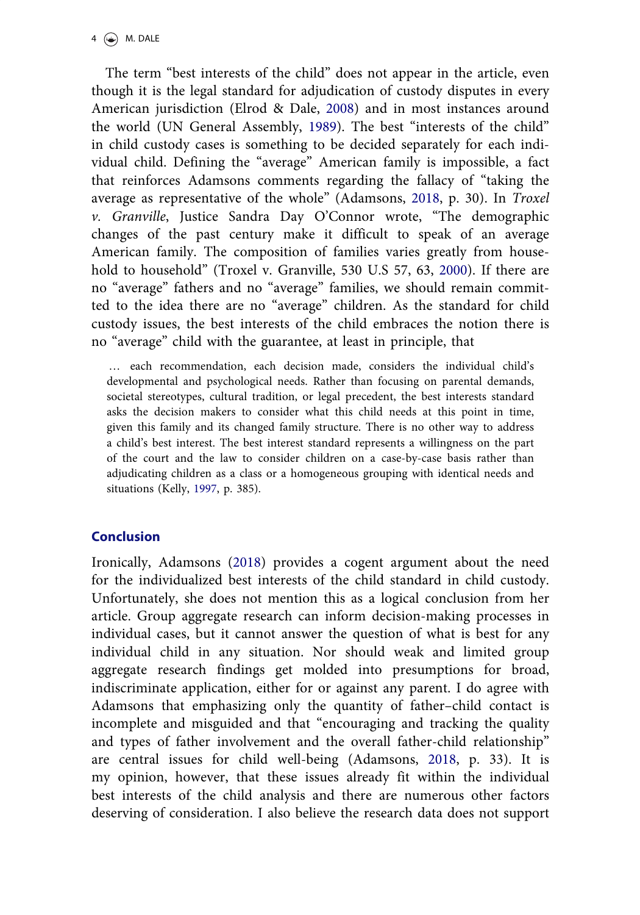<span id="page-8-0"></span>The term "best interests of the child" does not appear in the article, even though it is the legal standard for adjudication of custody disputes in every American jurisdiction (Elrod & Dale, [2008\)](#page-9-0) and in most instances around the world (UN General Assembly, [1989\)](#page-9-0). The best "interests of the child" in child custody cases is something to be decided separately for each individual child. Defining the "average" American family is impossible, a fact that reinforces Adamsons comments regarding the fallacy of "taking the average as representative of the whole" (Adamsons, [2018](#page-9-0), p. 30). In Troxel v. Granville, Justice Sandra Day O'Connor wrote, "The demographic changes of the past century make it difficult to speak of an average American family. The composition of families varies greatly from household to household" (Troxel v. Granville, 530 U.S 57, 63, [2000\)](#page-9-0). If there are no "average" fathers and no "average" families, we should remain committed to the idea there are no "average" children. As the standard for child custody issues, the best interests of the child embraces the notion there is no "average" child with the guarantee, at least in principle, that

… each recommendation, each decision made, considers the individual child's developmental and psychological needs. Rather than focusing on parental demands, societal stereotypes, cultural tradition, or legal precedent, the best interests standard asks the decision makers to consider what this child needs at this point in time, given this family and its changed family structure. There is no other way to address a child's best interest. The best interest standard represents a willingness on the part of the court and the law to consider children on a case-by-case basis rather than adjudicating children as a class or a homogeneous grouping with identical needs and situations (Kelly, [1997,](#page-9-0) p. 385).

## Conclusion

Ironically, Adamsons [\(2018\)](#page-9-0) provides a cogent argument about the need for the individualized best interests of the child standard in child custody. Unfortunately, she does not mention this as a logical conclusion from her article. Group aggregate research can inform decision-making processes in individual cases, but it cannot answer the question of what is best for any individual child in any situation. Nor should weak and limited group aggregate research findings get molded into presumptions for broad, indiscriminate application, either for or against any parent. I do agree with Adamsons that emphasizing only the quantity of father–child contact is incomplete and misguided and that "encouraging and tracking the quality and types of father involvement and the overall father-child relationship" are central issues for child well-being (Adamsons, [2018](#page-9-0), p. 33). It is my opinion, however, that these issues already fit within the individual best interests of the child analysis and there are numerous other factors deserving of consideration. I also believe the research data does not support